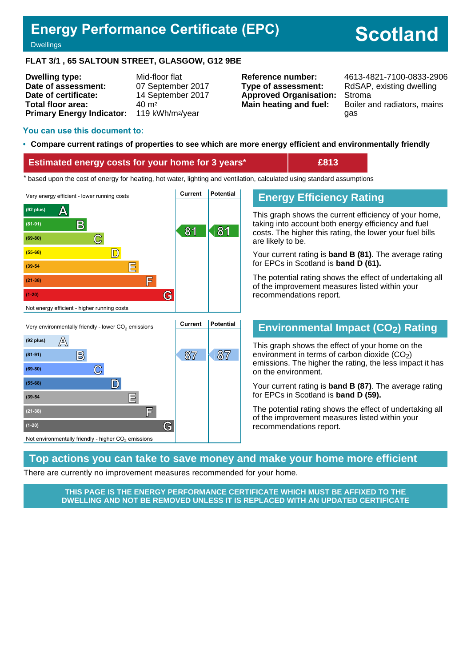# **Energy Performance Certificate (EPC)**

# **Scotland**

**Dwellings** 

#### **FLAT 3/1 , 65 SALTOUN STREET, GLASGOW, G12 9BE**

| <b>Dwelling type:</b>            | Mid-floor flat               |
|----------------------------------|------------------------------|
| Date of assessment:              | 07 September 2017            |
| Date of certificate:             | 14 September 2017            |
| Total floor area:                | $40 \; \mathrm{m}^2$         |
| <b>Primary Energy Indicator:</b> | 119 kWh/m <sup>2</sup> /year |

**Type of assessment:** RdSAP, existing dwelling **Approved Organisation:** Stroma

**Reference number:** 4613-4821-7100-0833-2906 **Main heating and fuel:** Boiler and radiators, mains gas

#### **You can use this document to:**

#### • **Compare current ratings of properties to see which are more energy efficient and environmentally friendly**

#### **Estimated energy costs for your home for 3 years\* £813**

the sed upon the cost of energy for heating, hot water, lighting and ventilation, calculated using standard assumptions





# **Energy Efficiency Rating**

This graph shows the current efficiency of your home, taking into account both energy efficiency and fuel costs. The higher this rating, the lower your fuel bills are likely to be.

Your current rating is **band B (81)**. The average rating for EPCs in Scotland is **band D (61).**

The potential rating shows the effect of undertaking all of the improvement measures listed within your recommendations report.

#### **Environmental Impact (CO2) Rating**

This graph shows the effect of your home on the environment in terms of carbon dioxide  $(CO<sub>2</sub>)$ emissions. The higher the rating, the less impact it has on the environment.

Your current rating is **band B (87)**. The average rating for EPCs in Scotland is **band D (59).**

The potential rating shows the effect of undertaking all of the improvement measures listed within your recommendations report.

#### **Top actions you can take to save money and make your home more efficient**

There are currently no improvement measures recommended for your home.

**THIS PAGE IS THE ENERGY PERFORMANCE CERTIFICATE WHICH MUST BE AFFIXED TO THE DWELLING AND NOT BE REMOVED UNLESS IT IS REPLACED WITH AN UPDATED CERTIFICATE**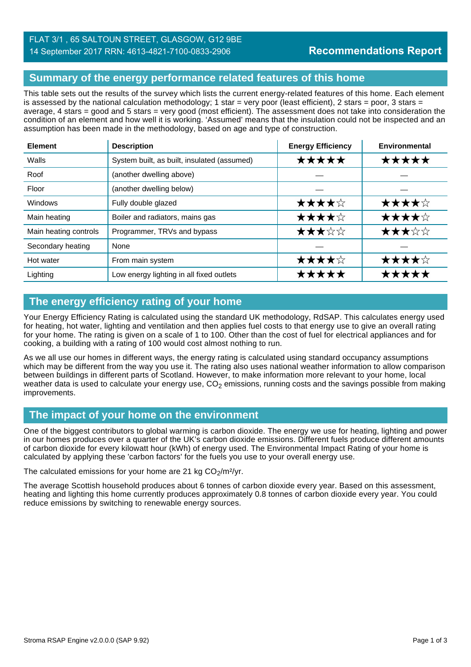## FLAT 3/1 , 65 SALTOUN STREET, GLASGOW, G12 9BE 14 September 2017 RRN: 4613-4821-7100-0833-2906

# **Summary of the energy performance related features of this home**

This table sets out the results of the survey which lists the current energy-related features of this home. Each element is assessed by the national calculation methodology; 1 star = very poor (least efficient), 2 stars = poor, 3 stars = average, 4 stars = good and 5 stars = very good (most efficient). The assessment does not take into consideration the condition of an element and how well it is working. 'Assumed' means that the insulation could not be inspected and an assumption has been made in the methodology, based on age and type of construction.

| <b>Element</b>        | <b>Description</b>                          | <b>Energy Efficiency</b> | <b>Environmental</b> |
|-----------------------|---------------------------------------------|--------------------------|----------------------|
| Walls                 | System built, as built, insulated (assumed) | *****                    | ★★★★★                |
| Roof                  | (another dwelling above)                    |                          |                      |
| Floor                 | (another dwelling below)                    |                          |                      |
| Windows               | Fully double glazed                         | ★★★★☆                    | ★★★★☆                |
| Main heating          | Boiler and radiators, mains gas             | ★★★★☆                    | ★★★★☆                |
| Main heating controls | Programmer, TRVs and bypass                 | ★★★☆☆                    | ★★★☆☆                |
| Secondary heating     | None                                        |                          |                      |
| Hot water             | From main system                            | ★★★★☆                    | ★★★★☆                |
| Lighting              | Low energy lighting in all fixed outlets    | *****                    | *****                |

# **The energy efficiency rating of your home**

Your Energy Efficiency Rating is calculated using the standard UK methodology, RdSAP. This calculates energy used for heating, hot water, lighting and ventilation and then applies fuel costs to that energy use to give an overall rating for your home. The rating is given on a scale of 1 to 100. Other than the cost of fuel for electrical appliances and for cooking, a building with a rating of 100 would cost almost nothing to run.

As we all use our homes in different ways, the energy rating is calculated using standard occupancy assumptions which may be different from the way you use it. The rating also uses national weather information to allow comparison between buildings in different parts of Scotland. However, to make information more relevant to your home, local weather data is used to calculate your energy use,  $CO<sub>2</sub>$  emissions, running costs and the savings possible from making improvements.

#### **The impact of your home on the environment**

One of the biggest contributors to global warming is carbon dioxide. The energy we use for heating, lighting and power in our homes produces over a quarter of the UK's carbon dioxide emissions. Different fuels produce different amounts of carbon dioxide for every kilowatt hour (kWh) of energy used. The Environmental Impact Rating of your home is calculated by applying these 'carbon factors' for the fuels you use to your overall energy use.

The calculated emissions for your home are 21 kg  $CO<sub>2</sub>/m<sup>2</sup>/yr$ .

The average Scottish household produces about 6 tonnes of carbon dioxide every year. Based on this assessment, heating and lighting this home currently produces approximately 0.8 tonnes of carbon dioxide every year. You could reduce emissions by switching to renewable energy sources.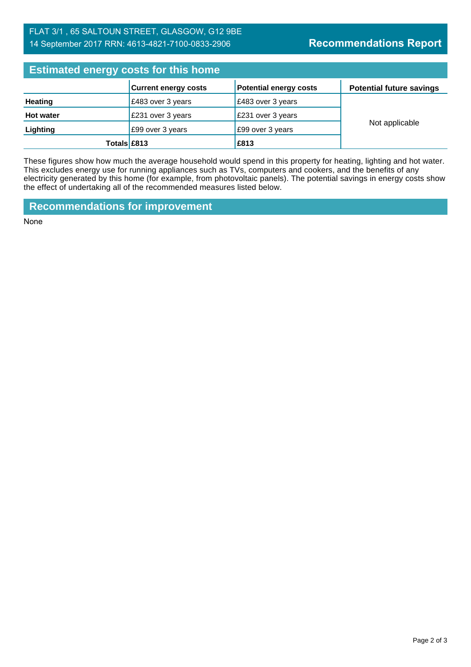# FLAT 3/1 , 65 SALTOUN STREET, GLASGOW, G12 9BE 14 September 2017 RRN: 4613-4821-7100-0833-2906

| <b>Estimated energy costs for this home</b> |                             |                               |                                 |  |
|---------------------------------------------|-----------------------------|-------------------------------|---------------------------------|--|
|                                             | <b>Current energy costs</b> | <b>Potential energy costs</b> | <b>Potential future savings</b> |  |
| <b>Heating</b>                              | £483 over 3 years           | £483 over 3 years             | Not applicable                  |  |
| <b>Hot water</b>                            | £231 over 3 years           | £231 over 3 years             |                                 |  |
| Lighting                                    | £99 over 3 years            | £99 over 3 years              |                                 |  |
| Totals £813                                 |                             | £813                          |                                 |  |

These figures show how much the average household would spend in this property for heating, lighting and hot water. This excludes energy use for running appliances such as TVs, computers and cookers, and the benefits of any electricity generated by this home (for example, from photovoltaic panels). The potential savings in energy costs show the effect of undertaking all of the recommended measures listed below.

**Recommendations for improvement**

None